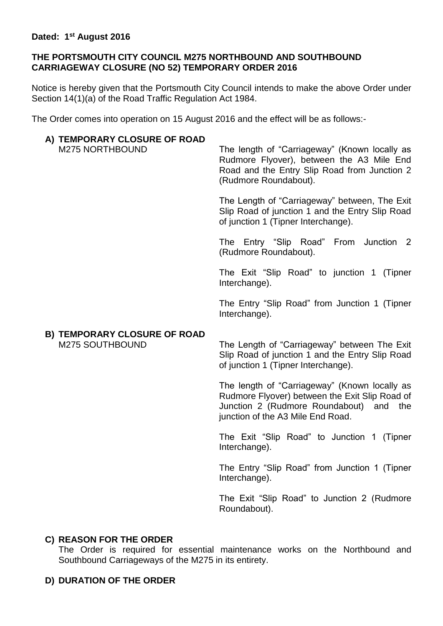#### **Dated: 1 st August 2016**

#### **THE PORTSMOUTH CITY COUNCIL M275 NORTHBOUND AND SOUTHBOUND CARRIAGEWAY CLOSURE (NO 52) TEMPORARY ORDER 2016**

Notice is hereby given that the Portsmouth City Council intends to make the above Order under Section 14(1)(a) of the Road Traffic Regulation Act 1984.

The Order comes into operation on 15 August 2016 and the effect will be as follows:-

### **A) TEMPORARY CLOSURE OF ROAD**

M275 NORTHBOUND The length of "Carriageway" (Known locally as Rudmore Flyover), between the A3 Mile End Road and the Entry Slip Road from Junction 2 (Rudmore Roundabout).

> The Length of "Carriageway" between, The Exit Slip Road of junction 1 and the Entry Slip Road of junction 1 (Tipner Interchange).

> The Entry "Slip Road" From Junction 2 (Rudmore Roundabout).

> The Exit "Slip Road" to junction 1 (Tipner Interchange).

> The Entry "Slip Road" from Junction 1 (Tipner Interchange).

# **B) TEMPORARY CLOSURE OF ROAD**

M275 SOUTHBOUND The Length of "Carriageway" between The Exit Slip Road of junction 1 and the Entry Slip Road of junction 1 (Tipner Interchange).

> The length of "Carriageway" (Known locally as Rudmore Flyover) between the Exit Slip Road of Junction 2 (Rudmore Roundabout) and the junction of the A3 Mile End Road.

> The Exit "Slip Road" to Junction 1 (Tipner Interchange).

> The Entry "Slip Road" from Junction 1 (Tipner Interchange).

> The Exit "Slip Road" to Junction 2 (Rudmore Roundabout).

## **C) REASON FOR THE ORDER**

The Order is required for essential maintenance works on the Northbound and Southbound Carriageways of the M275 in its entirety.

## **D) DURATION OF THE ORDER**